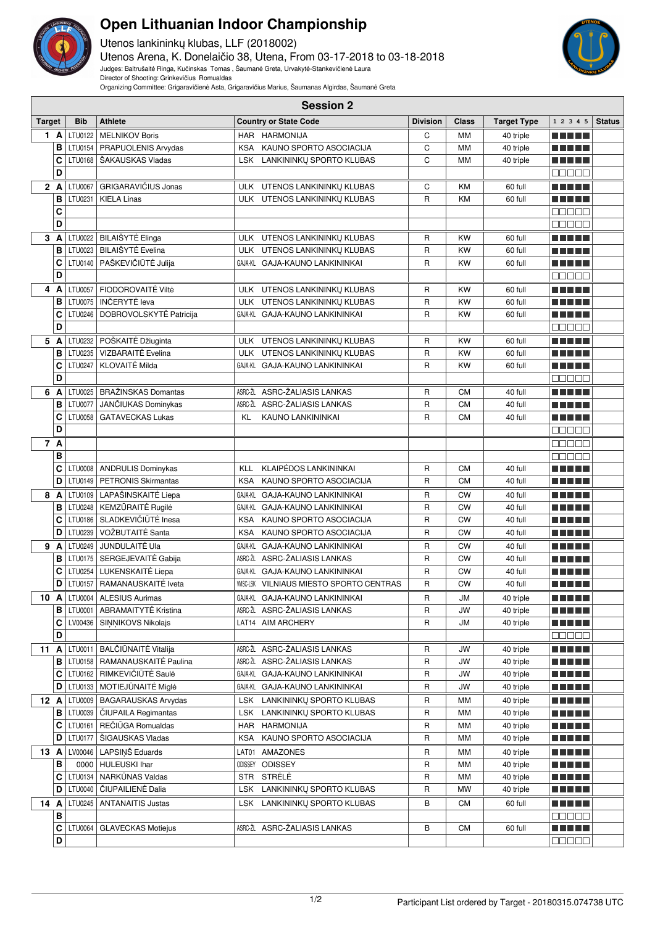

## **Open Lithuanian Indoor Championship**

Utenos lankininkų klubas, LLF (2018002) Utenos Arena, K. Donelaičio 38, Utena, From 03-17-2018 to 03-18-2018 Judges: Baltrušaitė Ringa, Kučinskas Tomas , Šaumanė Greta, Urvakytė-Stankevičienė Laura

Director of Shooting: Grinkevičius Romualdas

Organizing Committee: Grigaravičienė Asta, Grigaravičius Marius, Šaumanas Algirdas, Šaumanė Greta

|        | <b>Session 2</b> |                |                                  |            |                                                |                 |              |                    |                    |               |
|--------|------------------|----------------|----------------------------------|------------|------------------------------------------------|-----------------|--------------|--------------------|--------------------|---------------|
| Target |                  | <b>Bib</b>     | <b>Athlete</b>                   |            | <b>Country or State Code</b>                   | <b>Division</b> | <b>Class</b> | <b>Target Type</b> | 1 2 3 4 5          | <b>Status</b> |
|        | 1 A              | LTU0122        | <b>MELNIKOV Boris</b>            |            | HAR HARMONIJA                                  | C               | <b>MM</b>    | 40 triple          | n din bir          |               |
|        | в                |                | LTU0154   PRAPUOLENIS Arvydas    |            | KSA KAUNO SPORTO ASOCIACIJA                    | C               | MM           | 40 triple          |                    |               |
|        | c                | LTU0168        | ŠAKAUSKAS Vladas                 |            | LSK LANKININKŲ SPORTO KLUBAS                   | C               | <b>MM</b>    | 40 triple          |                    |               |
|        | D                |                |                                  |            |                                                |                 |              |                    | na na n            |               |
|        | 2 A              | <b>LTU0067</b> | GRIGARAVIČIUS Jonas              |            | ULK UTENOS LANKININKŲ KLUBAS                   | C               | KM           | 60 full            | n di Titolo        |               |
|        | В                | LTU0231        | <b>KIELA Linas</b>               |            | ULK UTENOS LANKININKŲ KLUBAS                   | R               | <b>KM</b>    | 60 full            |                    |               |
|        | С                |                |                                  |            |                                                |                 |              |                    | Ma Ma              |               |
|        | D                |                |                                  |            |                                                |                 |              |                    | Maaaa              |               |
|        |                  |                | 3 A LTU0022 BILAIŠYTĖ Elinga     | <b>ULK</b> | UTENOS LANKININKU KLUBAS                       | R               | <b>KW</b>    | 60 full            | MA ME              |               |
|        | в                | LTU0023        | <b>BILAIŠYTĖ Evelina</b>         | <b>ULK</b> | UTENOS LANKININKŲ KLUBAS                       | R               | <b>KW</b>    | 60 full            | M M M M M          |               |
|        | C                | LTU0140        | PAŠKEVIČIŪTĖ Julija              |            | GAJA-KL GAJA-KAUNO LANKININKAI                 | R               | <b>KW</b>    | 60 full            | n din bir          |               |
|        | D                |                |                                  |            |                                                |                 |              |                    | Maaaa              |               |
|        | 4 A              | LTU0057        | FIODOROVAITĖ Viltė               |            | ULK UTENOS LANKININKŲ KLUBAS                   | R               | <b>KW</b>    | 60 full            | n na m             |               |
|        | В                | LTU0075        | INČERYTĖ leva                    |            | ULK UTENOS LANKININKŲ KLUBAS                   | R               | <b>KW</b>    | 60 full            | M M M M M          |               |
|        | c                | LTU0246        | DOBROVOLSKYTĖ Patricija          |            | GAJA-KL GAJA-KAUNO LANKININKAI                 | R               | <b>KW</b>    | 60 full            | n di Titolo        |               |
|        | D                |                |                                  |            |                                                |                 |              |                    | e e e e e          |               |
|        | 5 A              | LTU0232        | POŠKAITĖ Džiuginta               |            | ULK UTENOS LANKININKŲ KLUBAS                   | R               | <b>KW</b>    | 60 full            | n di Titolo        |               |
|        | в                | LTU0235        | VIZBARAITĖ Evelina               | <b>ULK</b> | UTENOS LANKININKŲ KLUBAS                       | $\mathsf R$     | <b>KW</b>    | 60 full            | .                  |               |
|        | C                | LTU0247        | <b>KLOVAITĖ Milda</b>            |            | GAJA-KL GAJA-KAUNO LANKININKAI                 | $\mathsf R$     | <b>KW</b>    | 60 full            |                    |               |
|        | D                |                |                                  |            |                                                |                 |              |                    | Maaaa              |               |
| 6      | A                | LTU0025        | <b>BRAŽINSKAS Domantas</b>       | ASRC-ŽL    | ASRC-ŽALIASIS LANKAS                           | R               | <b>CM</b>    | 40 full            | n din ka           |               |
|        | в                | <b>LTU0077</b> | JANČIUKAS Dominykas              |            | ASRC-ŽL ASRC-ŽALIASIS LANKAS                   | $\mathsf{R}$    | <b>CM</b>    | 40 full            |                    |               |
|        | С                | LTU0058        | <b>GATAVECKAS Lukas</b>          | KL         | <b>KAUNO LANKININKAI</b>                       | R               | <b>CM</b>    | 40 full            |                    |               |
|        | D                |                |                                  |            |                                                |                 |              |                    | 88888              |               |
|        | 7 A              |                |                                  |            |                                                |                 |              |                    | e e e e e          |               |
|        | B                |                |                                  |            |                                                |                 |              |                    | e e e e e          |               |
|        | c                |                | LTU0008   ANDRULIS Dominykas     | <b>KLL</b> | <b>KLAIPĖDOS LANKININKAI</b>                   | R               | <b>CM</b>    | 40 full            | M M M M M          |               |
|        | D                | LTU0149        | <b>PETRONIS Skirmantas</b>       | <b>KSA</b> | KAUNO SPORTO ASOCIACIJA                        | R               | <b>CM</b>    | 40 full            | n di Titolo        |               |
|        | 8 A              |                | LTU0109   LAPAŠINSKAITĖ Liepa    | GAJA-KL    | GAJA-KAUNO LANKININKAI                         | R               | <b>CW</b>    | 40 full            | n n n n n          |               |
|        | в                |                | LTU0248   KEMZŪRAITĖ Rugilė      |            | GAJA-KL GAJA-KAUNO LANKININKAI                 | R               | <b>CW</b>    | 40 full            | n din Film         |               |
|        | C                | LTU0186        | SLADKEVIČIŪTĖ Inesa              | <b>KSA</b> | KAUNO SPORTO ASOCIACIJA                        | $\mathsf R$     | <b>CW</b>    | 40 full            | s ginnin           |               |
|        | D                | LTU0239        | VOŽBUTAITĖ Santa                 | <b>KSA</b> | KAUNO SPORTO ASOCIACIJA                        | R               | <b>CW</b>    | 40 full            |                    |               |
|        |                  | $9$ A LTU0249  | JUNDULAITĖ Ula                   |            | GAJA-KL GAJA-KAUNO LANKININKAI                 | R               | <b>CW</b>    | 40 full            | ma mata            |               |
|        | В                |                | LTU0175   SERGEJEVAITĖ Gabija    |            | ASRC-ŽL ASRC-ŽALIASIS LANKAS                   | R               | <b>CW</b>    | 40 full            | M M M M M          |               |
|        | С                | LTU0254        | LUKENSKAITĖ Liepa                |            | GAJA-KL GAJA-KAUNO LANKININKAI                 | R               | CW           | 40 full            | n di Titolo        |               |
|        | D                | LTU0157        | RAMANAUSKAITĖ Iveta              |            | <b>WISC-LSK VILNIAUS MIESTO SPORTO CENTRAS</b> | R               | <b>CW</b>    | 40 full            | n din ka           |               |
|        |                  |                | 10 A   LTU0004   ALESIUS Aurimas |            | GAJA-KL GAJA-KAUNO LANKININKAI                 | R               | JM           | 40 triple          | <u> El El El E</u> |               |
|        | В                |                | LTU0001   ABRAMAITYTĖ Kristina   |            | ASRC-ŽL ASRC-ŽALIASIS LANKAS                   | R               | JW           | 40 triple          | <u> El El El E</u> |               |
|        | c                |                | LV00436   SINNIKOVS Nikolajs     |            | LAT14 AIM ARCHERY                              | R               | <b>JM</b>    | 40 triple          | M M M M M          |               |
|        | D                |                |                                  |            |                                                |                 |              |                    | 88888              |               |
|        | 11 $A$           | LTU0011        | <b>BALČIŪNAITĖ Vitalija</b>      |            | ASRC-ŽL ASRC-ŽALIASIS LANKAS                   | R               | JW           | 40 triple          | <u> El El El E</u> |               |
|        | В                |                | LTU0158   RAMANAUSKAITĖ Paulina  |            | ASRC-ŽL ASRC-ŽALIASIS LANKAS                   | R               | <b>JW</b>    | 40 triple          | e e e e e          |               |
|        | С                |                | LTU0162   RIMKEVIČIŪTĖ Saulė     |            | GAJA-KL GAJA-KAUNO LANKININKAI                 | R               | JW           | 40 triple          | ma matsa           |               |
|        | D                |                | LTU0133   MOTIEJŪNAITĖ Miglė     |            | GAJA-KL GAJA-KAUNO LANKININKAI                 | R               | <b>JW</b>    | 40 triple          | <u> El El El E</u> |               |
|        | $12 \text{ A}$   |                | LTU0009   BAGARAUSKAS Arvydas    |            | LSK LANKININKU SPORTO KLUBAS                   | R               | МM           | 40 triple          |                    |               |
|        | в                |                | LTU0039   ČIUPAILA Regimantas    |            | LSK LANKININKŲ SPORTO KLUBAS                   | R               | МM           | 40 triple          | a di seb           |               |
|        | С                |                | LTU0161   REČIŪGA Romualdas      |            | HAR HARMONIJA                                  | R               | МM           | 40 triple          | <u> El El El E</u> |               |
|        | D                | LTU0177        | ŠIGAUSKAS Vladas                 |            | KSA KAUNO SPORTO ASOCIACIJA                    | R               | МM           | 40 triple          | MA MARI            |               |
|        |                  |                | 13 $A$ LV00046 LAPSINS Eduards   |            | LAT01 AMAZONES                                 | R               | МM           | 40 triple          | n na mats          |               |
|        | в                |                | 0000 HULEUSKI Ihar               |            | ODISSEY ODISSEY                                | R               | МM           | 40 triple          | M S S S S S        |               |
|        | С                |                | LTU0134   NARKŪNAS Valdas        |            | STR STRELE                                     | R               | МM           | 40 triple          | M M M M M          |               |
|        | D                | LTU0040        | ČIUPAILIENĖ Dalia                |            | LSK LANKININKŲ SPORTO KLUBAS                   | R               | MW           | 40 triple          | <u> Literatur</u>  |               |
|        | 14 A             |                | LTU0245   ANTANAITIS Justas      |            | LSK LANKININKŲ SPORTO KLUBAS                   | в               | <b>CM</b>    | 60 full            | M SI SI SI SI      |               |
|        | в                |                |                                  |            |                                                |                 |              |                    | 88888              |               |
|        | c                | <b>LTU0064</b> | <b>GLAVECKAS Motiejus</b>        |            | ASRC-ŽL ASRC-ŽALIASIS LANKAS                   | В               | CM           | 60 full            | <u> El El El E</u> |               |
|        | D                |                |                                  |            |                                                |                 |              |                    | 88888              |               |
|        |                  |                |                                  |            |                                                |                 |              |                    |                    |               |